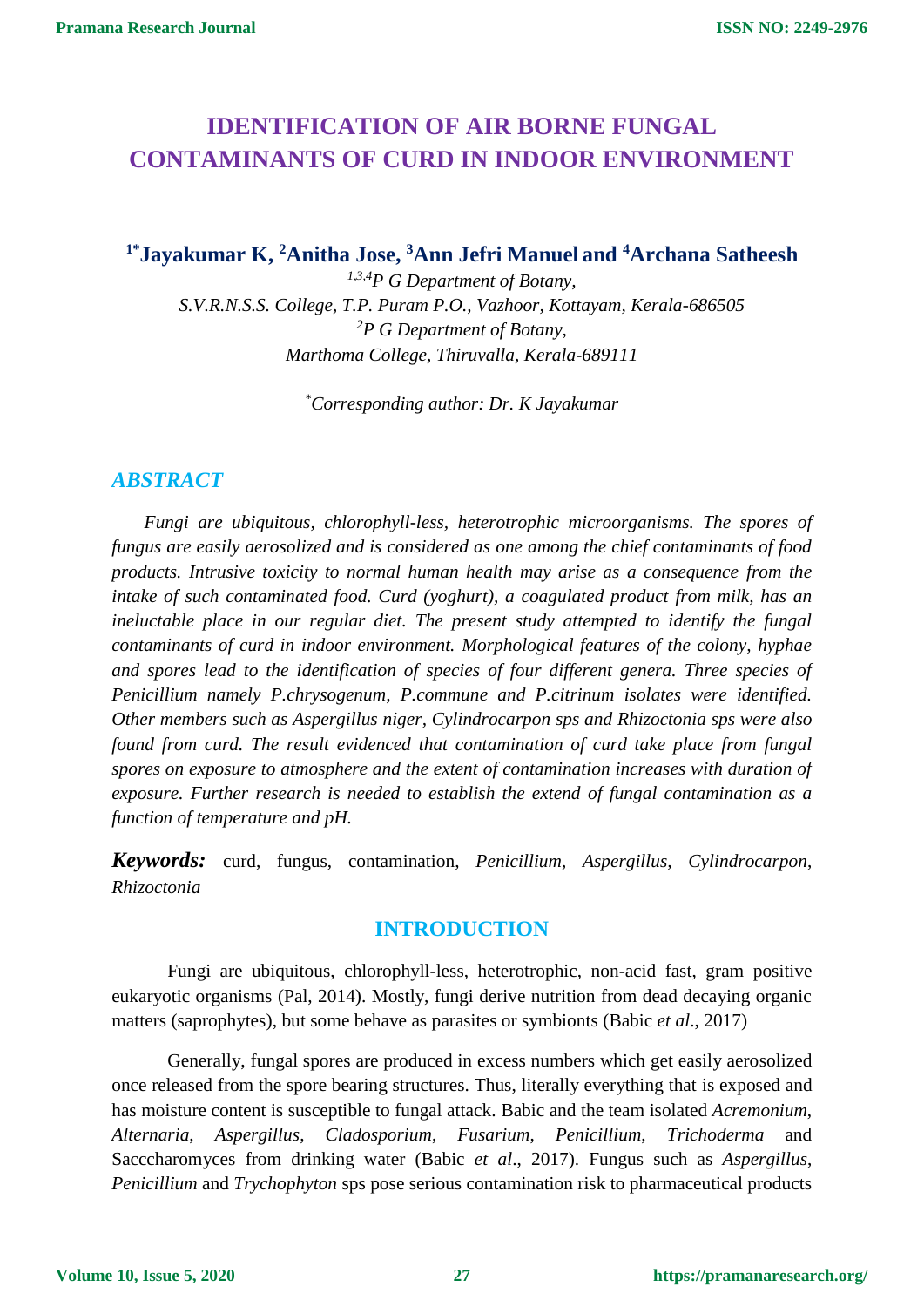# **IDENTIFICATION OF AIR BORNE FUNGAL CONTAMINANTS OF CURD IN INDOOR ENVIRONMENT**

**1\*Jayakumar K, <sup>2</sup>Anitha Jose, <sup>3</sup>Ann Jefri Manuel and <sup>4</sup>Archana Satheesh**

*1,3,4P G Department of Botany, S.V.R.N.S.S. College, T.P. Puram P.O., Vazhoor, Kottayam, Kerala-686505 <sup>2</sup>P G Department of Botany, Marthoma College, Thiruvalla, Kerala-689111*

*\*Corresponding author: Dr. K Jayakumar*

# *ABSTRACT*

*Fungi are ubiquitous, chlorophyll-less, heterotrophic microorganisms. The spores of fungus are easily aerosolized and is considered as one among the chief contaminants of food products. Intrusive toxicity to normal human health may arise as a consequence from the intake of such contaminated food. Curd (yoghurt), a coagulated product from milk, has an ineluctable place in our regular diet. The present study attempted to identify the fungal contaminants of curd in indoor environment. Morphological features of the colony, hyphae and spores lead to the identification of species of four different genera. Three species of Penicillium namely P.chrysogenum, P.commune and P.citrinum isolates were identified. Other members such as Aspergillus niger, Cylindrocarpon sps and Rhizoctonia sps were also found from curd. The result evidenced that contamination of curd take place from fungal spores on exposure to atmosphere and the extent of contamination increases with duration of exposure. Further research is needed to establish the extend of fungal contamination as a function of temperature and pH.*

*Keywords:* curd, fungus, contamination, *Penicillium, Aspergillus, Cylindrocarpon*, *Rhizoctonia*

# **INTRODUCTION**

Fungi are ubiquitous, chlorophyll-less, heterotrophic, non-acid fast, gram positive eukaryotic organisms (Pal, 2014). Mostly, fungi derive nutrition from dead decaying organic matters (saprophytes), but some behave as parasites or symbionts (Babic *et al*., 2017)

Generally, fungal spores are produced in excess numbers which get easily aerosolized once released from the spore bearing structures. Thus, literally everything that is exposed and has moisture content is susceptible to fungal attack. Babic and the team isolated *Acremonium*, *Alternaria*, *Aspergillus*, *Cladosporium*, *Fusarium*, *Penicillium*, *Trichoderma* and Sacccharomyces from drinking water (Babic *et al*., 2017). Fungus such as *Aspergillus*, *Penicillium* and *Trychophyton* sps pose serious contamination risk to pharmaceutical products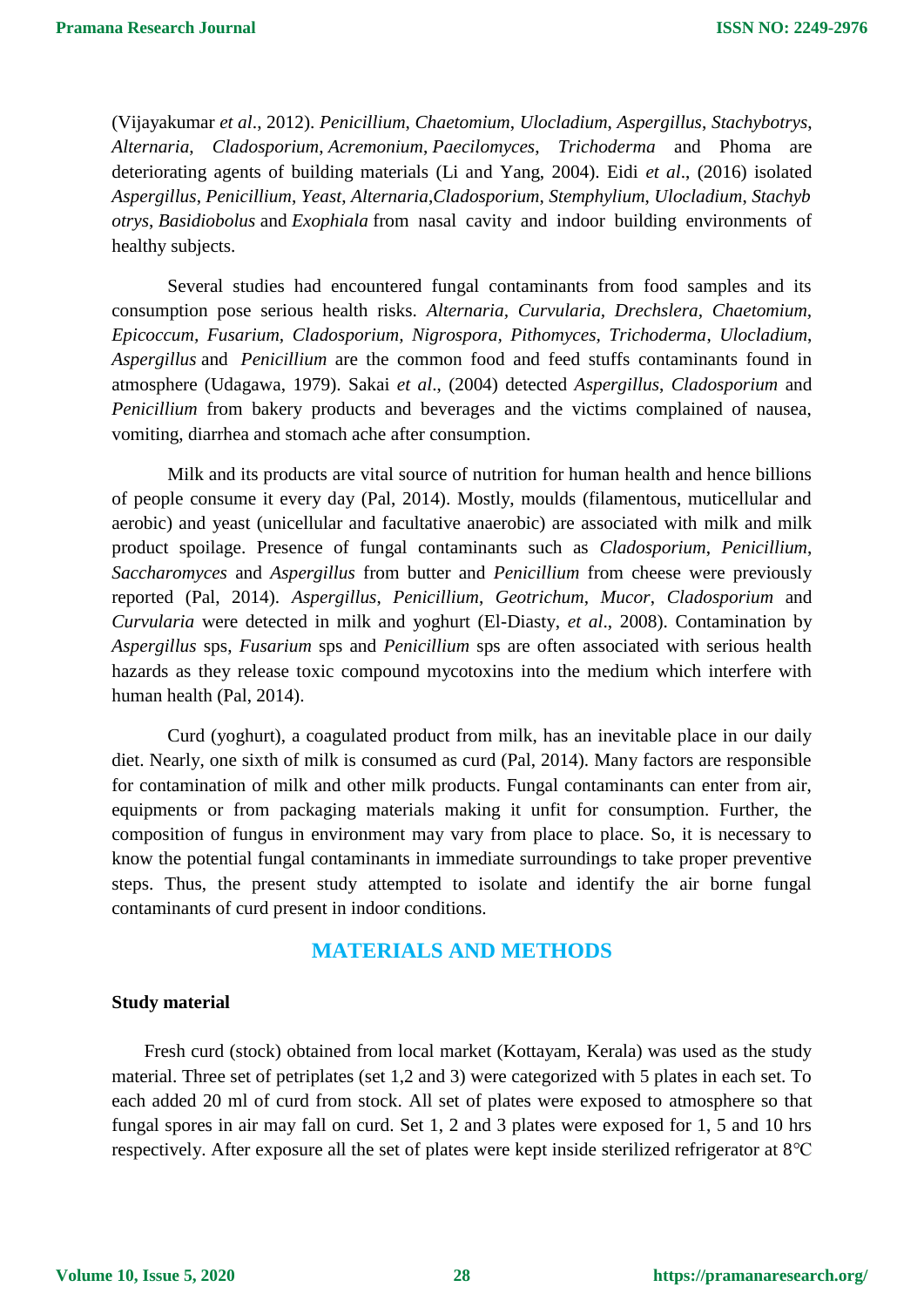(Vijayakumar *et al*., 2012). *Penicillium*, *Chaetomium*, *Ulocladium*, *Aspergillus*, *Stachybotrys*, *[Alternaria](https://www.sciencedirect.com/topics/immunology-and-microbiology/alternaria)*, *Cladosporium*, *Acremonium*, *[Paecilomyces](https://www.sciencedirect.com/topics/immunology-and-microbiology/paecilomyces)*, *[Trichoderma](https://www.sciencedirect.com/topics/immunology-and-microbiology/trichoderma)* and Phoma are deteriorating agents of building materials (Li and Yang, 2004). Eidi *et al*., (2016) isolated *Aspergillus*, *Penicillium*, *Yeast*, *Alternaria*,*Cladosporium*, *Stemphylium*, *Ulocladium*, *Stachyb otrys*, *Basidiobolus* and *Exophiala* from nasal cavity and indoor building environments of healthy subjects.

Several studies had encountered fungal contaminants from food samples and its consumption pose serious health risks. *Alternaria, Curvularia, Drechslera, Chaetomium, Epicoccum, Fusarium, Cladosporium, Nigrospora, Pithomyces, Trichoderma*, *Ulocladium*, *Aspergillus* and *Penicillium* are the common food and feed stuffs contaminants found in atmosphere [\(Udagawa,](https://www.jstage.jst.go.jp/search/global/_search/-char/en?item=8&word=Shun-ichi+Udagawa) 1979). Sakai *et al*., (2004) detected *Aspergillus*, *Cladosporium* and *Penicillium* from bakery products and beverages and the victims complained of nausea, vomiting, diarrhea and stomach ache after consumption.

Milk and its products are vital source of nutrition for human health and hence billions of people consume it every day (Pal, 2014). Mostly, moulds (filamentous, muticellular and aerobic) and yeast (unicellular and facultative anaerobic) are associated with milk and milk product spoilage. Presence of fungal contaminants such as *Cladosporium*, *Penicillium*, *Saccharomyces* and *Aspergillus* from butter and *Penicillium* from cheese were previously reported (Pal, 2014). *Aspergillus*, *Penicillium*, *Geotrichum*, *Mucor*, *Cladosporium* and *Curvularia* were detected in milk and yoghurt (El-Diasty, *et al*., 2008). Contamination by *Aspergillus* sps, *Fusarium* sps and *Penicillium* sps are often associated with serious health hazards as they release toxic compound mycotoxins into the medium which interfere with human health (Pal, 2014).

Curd (yoghurt), a coagulated product from milk, has an inevitable place in our daily diet. Nearly, one sixth of milk is consumed as curd (Pal, 2014). Many factors are responsible for contamination of milk and other milk products. Fungal contaminants can enter from air, equipments or from packaging materials making it unfit for consumption. Further, the composition of fungus in environment may vary from place to place. So, it is necessary to know the potential fungal contaminants in immediate surroundings to take proper preventive steps. Thus, the present study attempted to isolate and identify the air borne fungal contaminants of curd present in indoor conditions.

### **MATERIALS AND METHODS**

#### **Study material**

Fresh curd (stock) obtained from local market (Kottayam, Kerala) was used as the study material. Three set of petriplates (set 1,2 and 3) were categorized with 5 plates in each set. To each added 20 ml of curd from stock. All set of plates were exposed to atmosphere so that fungal spores in air may fall on curd. Set 1, 2 and 3 plates were exposed for 1, 5 and 10 hrs respectively. After exposure all the set of plates were kept inside sterilized refrigerator at 8℃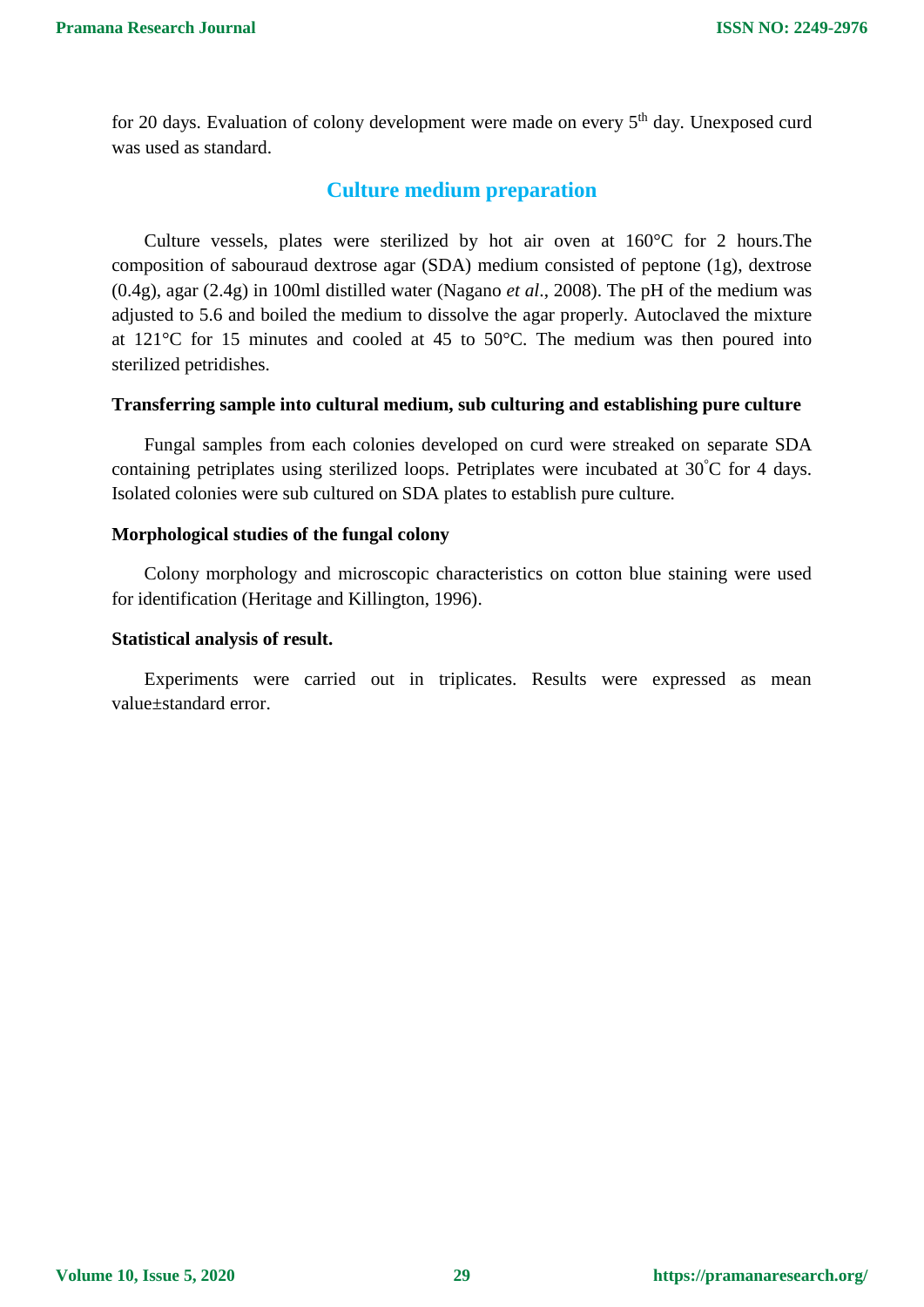for 20 days. Evaluation of colony development were made on every  $5<sup>th</sup>$  day. Unexposed curd was used as standard.

### **Culture medium preparation**

Culture vessels, plates were sterilized by hot air oven at 160°C for 2 hours.The composition of sabouraud dextrose agar (SDA) medium consisted of peptone (1g), dextrose (0.4g), agar (2.4g) in 100ml distilled water (Nagano *et al*., 2008). The pH of the medium was adjusted to 5.6 and boiled the medium to dissolve the agar properly. Autoclaved the mixture at 121°C for 15 minutes and cooled at 45 to 50°C. The medium was then poured into sterilized petridishes.

#### **Transferring sample into cultural medium, sub culturing and establishing pure culture**

Fungal samples from each colonies developed on curd were streaked on separate SDA containing petriplates using sterilized loops. Petriplates were incubated at 30°C for 4 days. Isolated colonies were sub cultured on SDA plates to establish pure culture.

#### **Morphological studies of the fungal colony**

Colony morphology and microscopic characteristics on cotton blue staining were used for identification (Heritage and Killington, 1996).

#### **Statistical analysis of result.**

Experiments were carried out in triplicates. Results were expressed as mean value±standard error.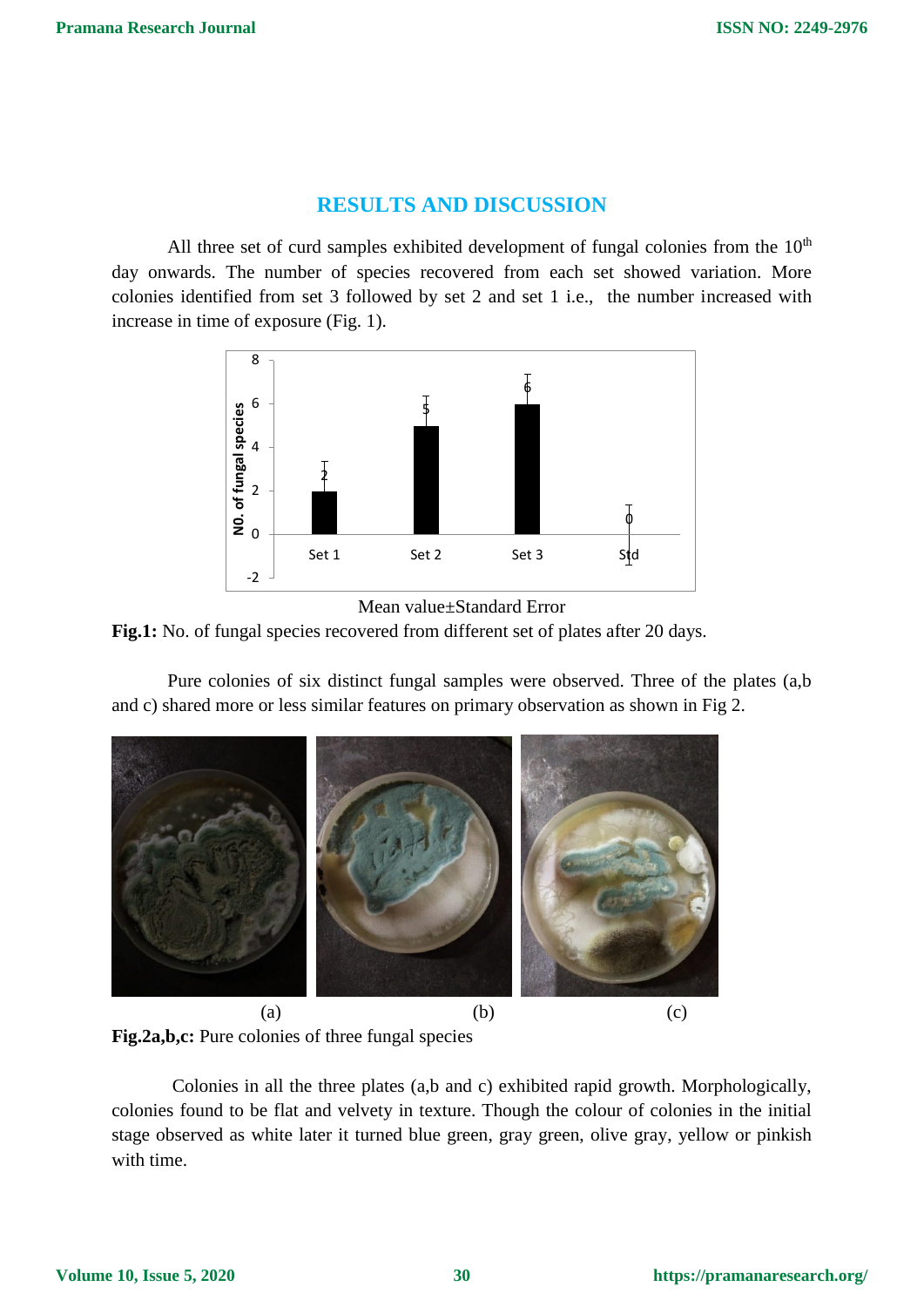### **RESULTS AND DISCUSSION**

All three set of curd samples exhibited development of fungal colonies from the  $10<sup>th</sup>$ day onwards. The number of species recovered from each set showed variation. More colonies identified from set 3 followed by set 2 and set 1 i.e., the number increased with increase in time of exposure (Fig. 1).





Pure colonies of six distinct fungal samples were observed. Three of the plates (a,b and c) shared more or less similar features on primary observation as shown in Fig 2.



**Fig.2a,b,c:** Pure colonies of three fungal species

Colonies in all the three plates (a,b and c) exhibited rapid growth. Morphologically, colonies found to be flat and velvety in texture. Though the colour of colonies in the initial stage observed as white later it turned blue green, gray green, olive gray, yellow or pinkish with time.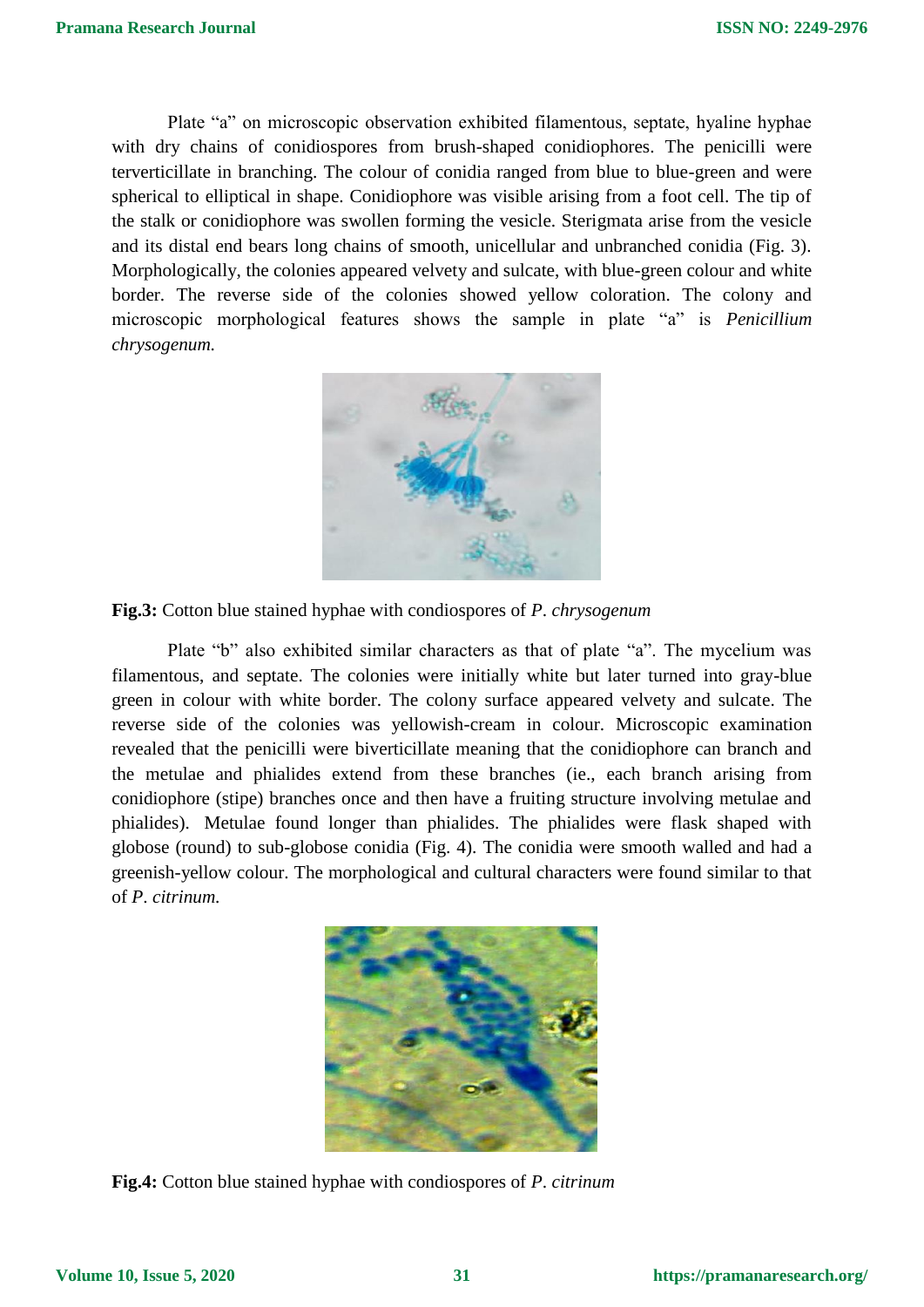Plate "a" on microscopic observation exhibited filamentous, septate, hyaline hyphae with dry chains of conidiospores from brush-shaped [conidiophores.](https://en.wikipedia.org/wiki/Conidiophores) The penicilli were terverticillate in branching. The colour of conidia ranged from blue to blue-green and were spherical to elliptical in shape. Conidiophore was visible arising from a foot cell. The tip of the stalk or conidiophore was swollen forming the vesicle. Sterigmata arise from the vesicle and its distal end bears long chains of smooth, unicellular and unbranched conidia (Fig. 3). Morphologically, the colonies appeared velvety and sulcate, with blue-green colour and white border. The reverse side of the colonies showed yellow coloration. The colony and microscopic morphological features shows the sample in plate "a" is *Penicillium chrysogenum.*



**Fig.3:** Cotton blue stained hyphae with condiospores of *P*. *chrysogenum*

Plate "b" also exhibited similar characters as that of plate "a". The mycelium was filamentous, and septate. The colonies were initially white but later turned into gray-blue green in colour with white border. The colony surface appeared velvety and sulcate. The reverse side of the colonies was yellowish-cream in colour. Microscopic examination revealed that the penicilli were biverticillate meaning that the conidiophore can branch and the metulae and phialides extend from these branches (ie., each branch arising from conidiophore (stipe) branches once and then have a fruiting structure involving metulae and phialides). Metulae found longer than phialides. The phialides were flask shaped with globose (round) to sub-globose conidia (Fig. 4). The conidia were smooth walled and had a greenish-yellow colour. The morphological and cultural characters were found similar to that of *P*. *citrinum.*



**Fig.4:** Cotton blue stained hyphae with condiospores of *P*. *citrinum*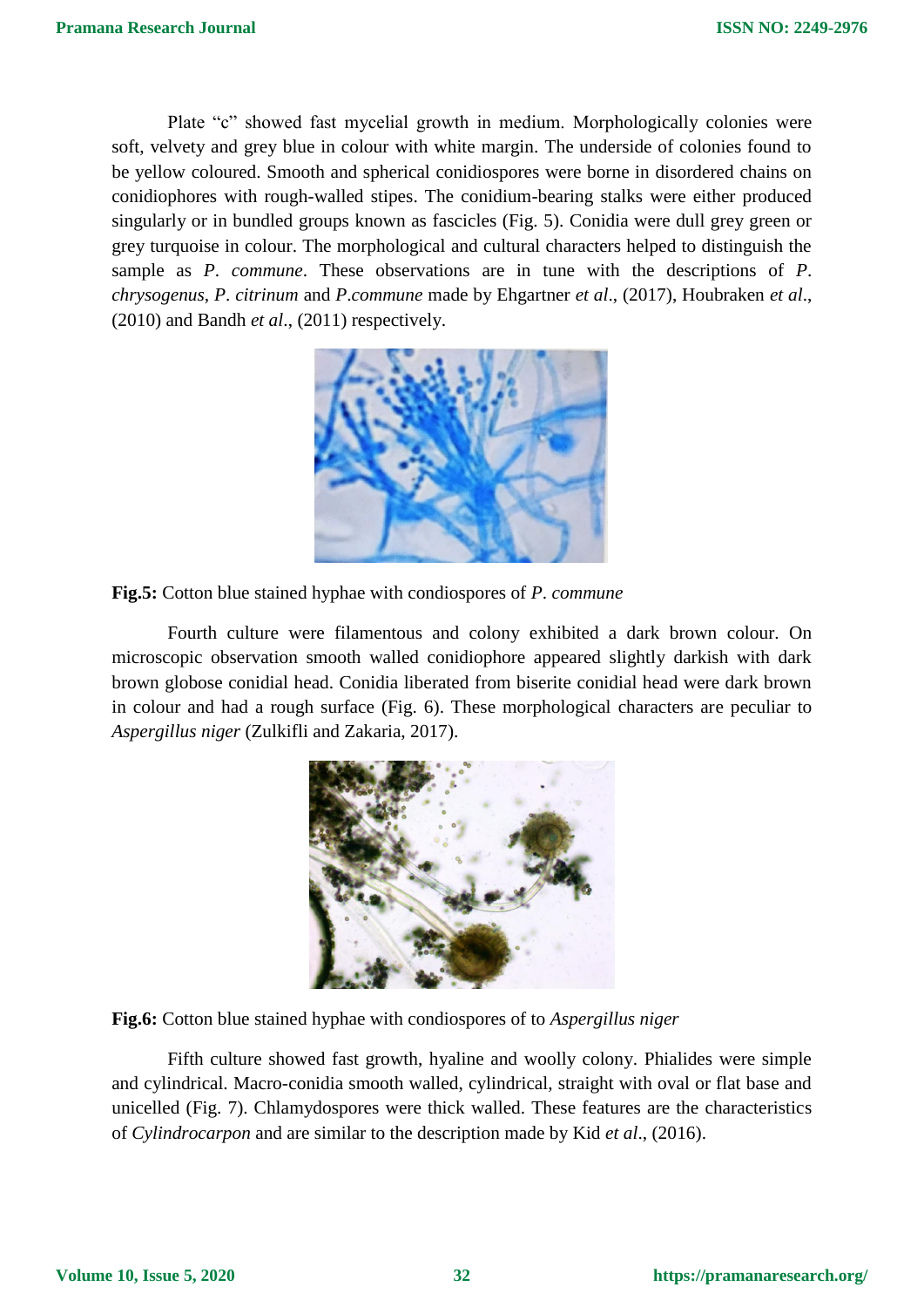Plate "c" showed fast mycelial growth in medium. Morphologically colonies were soft, velvety and grey blue in colour with white margin. The underside of colonies found to be yellow coloured. Smooth and spherical conidiospores were borne in disordered chains on [conidiophores](https://en.wikipedia.org/wiki/Conidiophores) with rough-walled [stipes.](https://en.wikipedia.org/wiki/Stipes) The conidium-bearing stalks were either produced singularly or in bundled groups known as [fascicles](https://en.wikipedia.org/wiki/Fascicle_(botany)) (Fig. 5). Conidia were dull grey green or grey turquoise in colour. The morphological and cultural characters helped to distinguish the sample as *P*. *commune*. These observations are in tune with the descriptions of *P*. *chrysogenus*, *P*. *citrinum* and *P*.*commune* made by Ehgartner *et al*., (2017), Houbraken *et al*., (2010) and Bandh *et al*., (2011) respectively.





Fourth culture were filamentous and colony exhibited a dark brown colour. On microscopic observation smooth walled conidiophore appeared slightly darkish with dark brown globose conidial head. Conidia liberated from biserite conidial head were dark brown in colour and had a rough surface (Fig. 6). These morphological characters are peculiar to *Aspergillus niger* (Zulkifli and Zakaria, 2017).



**Fig.6:** Cotton blue stained hyphae with condiospores of to *Aspergillus niger*

Fifth culture showed fast growth, hyaline and woolly colony. Phialides were simple and cylindrical. Macro-conidia smooth walled, cylindrical, straight with oval or flat base and unicelled (Fig. 7). Chlamydospores were thick walled. These features are the characteristics of *Cylindrocarpon* and are similar to the description made by Kid *et al*., (2016).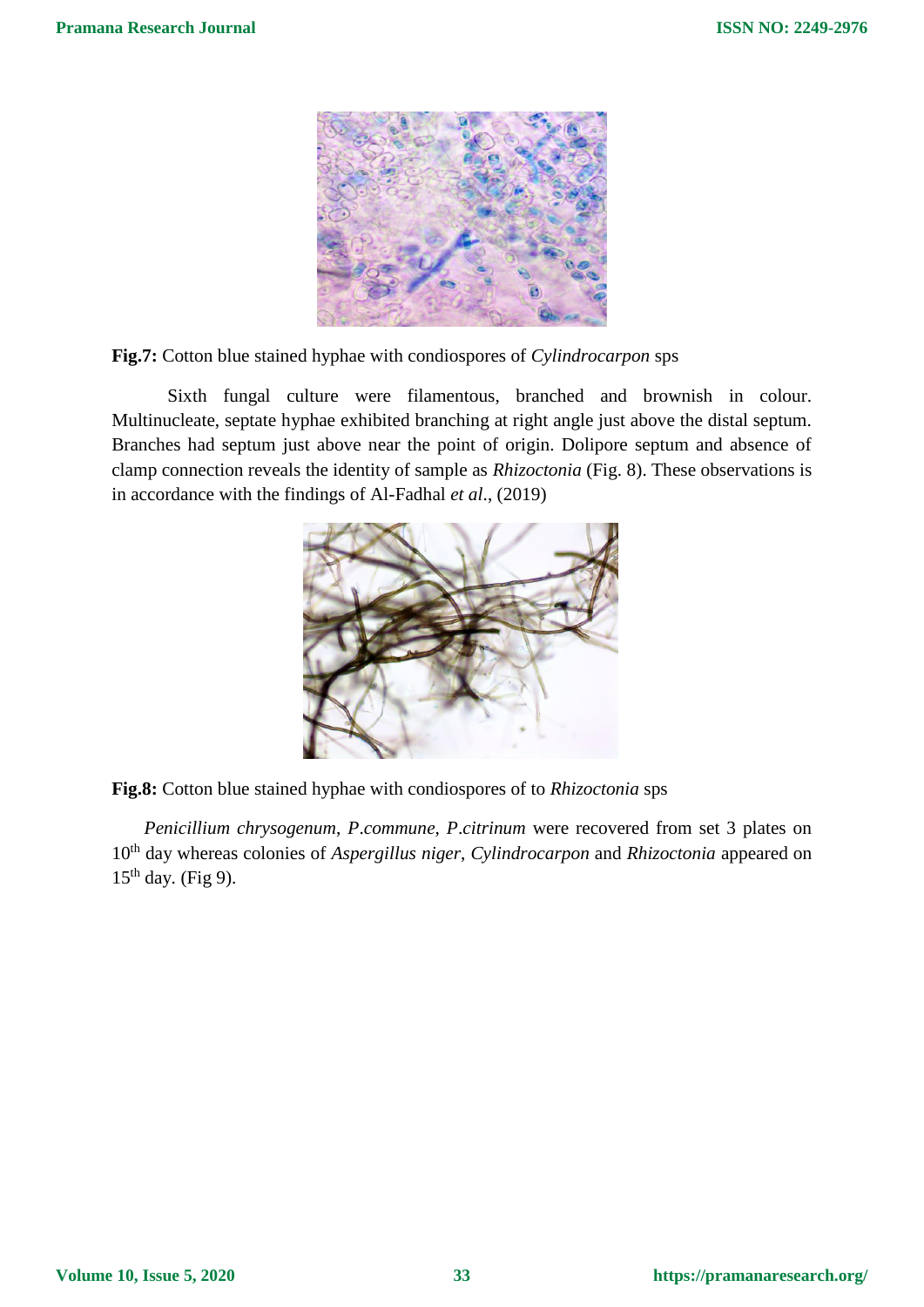

**Fig.7:** Cotton blue stained hyphae with condiospores of *Cylindrocarpon* sps

Sixth fungal culture were filamentous, branched and brownish in colour. Multinucleate, septate hyphae exhibited branching at right angle just above the distal septum. Branches had septum just above near the point of origin. Dolipore septum and absence of clamp connection reveals the identity of sample as *Rhizoctonia* (Fig. 8). These observations is in accordance with the findings of Al-Fadhal *et al*., (2019)





*Penicillium chrysogenum*, *P*.*commune*, *P*.*citrinum* were recovered from set 3 plates on 10th day whereas colonies of *Aspergillus niger*, *Cylindrocarpon* and *Rhizoctonia* appeared on  $15<sup>th</sup>$  day. (Fig 9).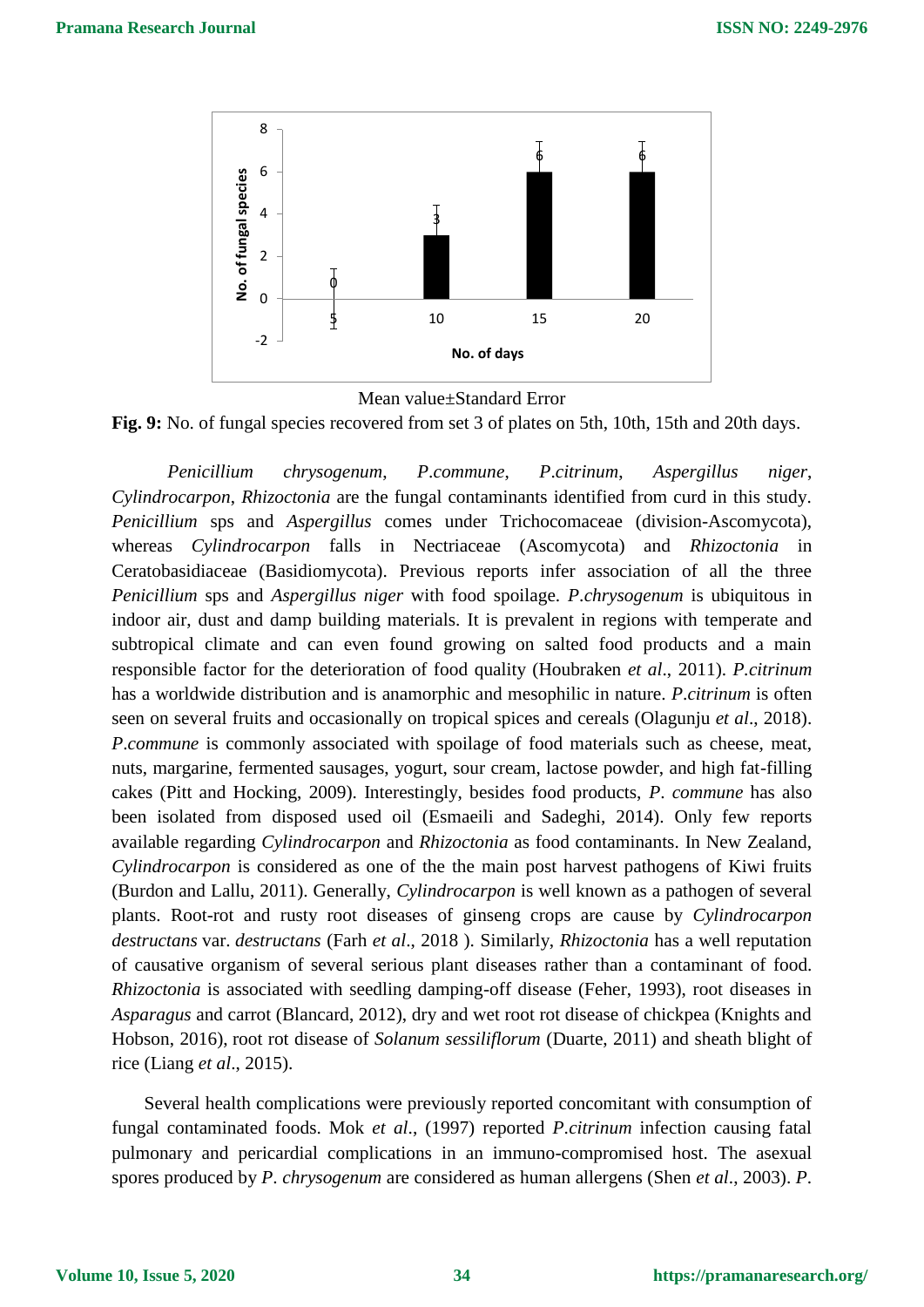



**Fig. 9:** No. of fungal species recovered from set 3 of plates on 5th, 10th, 15th and 20th days.

*Penicillium chrysogenum*, *P*.*commune*, *P*.*citrinum*, *Aspergillus niger*, *Cylindrocarpon*, *Rhizoctonia* are the fungal contaminants identified from curd in this study. *Penicillium* sps and *Aspergillus* comes under Trichocomaceae (division-Ascomycota), whereas *Cylindrocarpon* falls in Nectriaceae (Ascomycota) and *Rhizoctonia* in Ceratobasidiaceae (Basidiomycota). Previous reports infer association of all the three *Penicillium* sps and *Aspergillus niger* with food spoilage. *P*.*chrysogenum* is ubiquitous in indoor air, dust and damp building materials. It is prevalent in regions with [temperate](https://en.wikipedia.org/wiki/Temperate) and [subtropical](https://en.wikipedia.org/wiki/Subtropical) climate and can even found growing on salted food products and a main responsible factor for the deterioration of food quality (Houbraken *et al*., 2011). *P.citrinum* has a worldwide distribution and is [anamorphi](https://en.wikipedia.org/wiki/Anamorph)c and [mesophilic](https://en.wikipedia.org/wiki/Mesophilic) in nature. *P*.*citrinum* is often seen on several fruits and occasionally on [tropical spices](https://en.wikipedia.org/wiki/Spices) and [cereals](https://en.wikipedia.org/wiki/Cereals) (Olagunju *et al*., 2018). *P.commune* is commonly associated with spoilage of food materials such as cheese, meat, nuts, margarine, fermented sausages, yogurt, sour cream, lactose powder, and high fat-filling cakes (Pitt and Hocking, 2009). Interestingly, besides food products, *P*. *commune* has also been isolated from disposed used oil [\(Esmaeili and Sadeghi, 2014\).](https://en.wikipedia.org/wiki/Penicillium_commune#cite_note-Esmaeili-15) Only few reports available regarding *Cylindrocarpon* and *Rhizoctonia* as food contaminants. In New Zealand, *Cylindrocarpon* is considered as one of the the main post harvest pathogens of Kiwi fruits (Burdon and Lallu, 2011). Generally, *Cylindrocarpon* is well known as a pathogen of several plants. Root-rot and rusty root diseases of ginseng crops are cause by *Cylindrocarpon destructans* var. *destructans* [\(Farh](https://www.sciencedirect.com/science/article/pii/S1226845316301774#!) *et al*., 2018 ). Similarly, *Rhizoctonia* has a well reputation of causative organism of several serious plant diseases rather than a contaminant of food. *Rhizoctonia* is associated with seedling damping-off disease (Feher, 1993), root diseases in *Asparagus* and carrot (Blancard, 2012), dry and wet root rot disease of chickpea (Knights and Hobson, 2016), root rot disease of *Solanum sessiliflorum* (Duarte, 2011) and sheath blight of rice (Liang *et al*., 2015).

Several health complications were previously reported concomitant with consumption of fungal contaminated foods. Mok *et al*., (1997) reported *P*.*citrinum* infection causing fatal pulmonary and pericardial complications in an immuno-compromised host. The asexual spores produced by *P*. *chrysogenum* are considered as human allergens (Shen *et al*., 2003). *P*.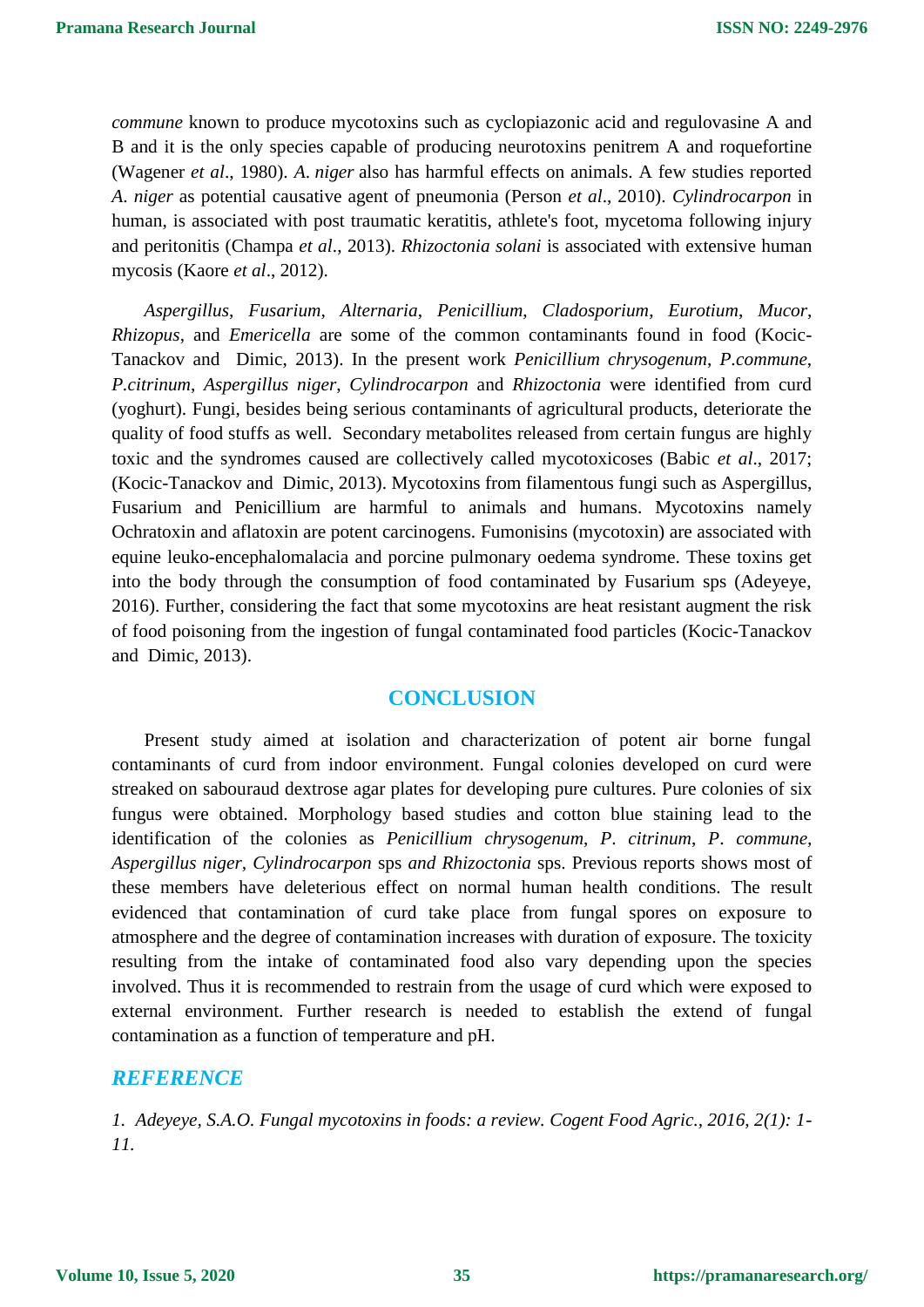*commune* known to produce mycotoxins such as [cyclopiazonic acid](https://en.wikipedia.org/wiki/Cyclopiazonic_acid) and [regulovasine](https://en.wikipedia.org/w/index.php?title=Regulovasine&action=edit&redlink=1) A and B and it is the only species capable of producing neurotoxins [penitrem A](https://en.wikipedia.org/wiki/Penitrem_A) and [roquefortine](https://en.wikipedia.org/wiki/Roquefortine) (Wagener *et al*., 1980). *A*. *niger* also has harmful effects on animals. A few studies reported *A*. *niger* as potential causative agent of pneumonia (Person *et al*., 2010). *Cylindrocarpon* in human, is associated with post traumatic keratitis, athlete's foot, mycetoma following injury and peritonitis (Champa *et al*., 2013). *Rhizoctonia solani* is associated with extensive human mycosis (Kaore *et al*., 2012).

*Aspergillus*, *Fusarium*, *Alternaria*, *Penicillium*, *Cladosporium*, *Eurotium*, *Mucor*, *Rhizopus*, and *Emericella* are some of the common contaminants found in food [\(Kocic-](https://www.researchgate.net/scientific-contributions/73903865_Suncica_Kocic-Tanackov)[Tanackov](https://www.researchgate.net/scientific-contributions/73903865_Suncica_Kocic-Tanackov) and [Dimic,](https://www.researchgate.net/scientific-contributions/74392812_Gordana_Dimic) 2013). In the present work *Penicillium chrysogenum*, *P.commune*, *P.citrinum*, *Aspergillus niger*, *Cylindrocarpon* and *Rhizoctonia* were identified from curd (yoghurt). Fungi, besides being serious contaminants of agricultural products, deteriorate the quality of food stuffs as well. Secondary metabolites released from certain fungus are highly toxic and the syndromes caused are collectively called mycotoxicoses (Babic *et al*., 2017; [\(Kocic-Tanackov](https://www.researchgate.net/scientific-contributions/73903865_Suncica_Kocic-Tanackov) and [Dimic,](https://www.researchgate.net/scientific-contributions/74392812_Gordana_Dimic) 2013). Mycotoxins from filamentous fungi such as Aspergillus, Fusarium and Penicillium are harmful to animals and humans. Mycotoxins namely Ochratoxin and aflatoxin are potent carcinogens. Fumonisins (mycotoxin) are associated with equine leuko-encephalomalacia and porcine pulmonary oedema syndrome. These toxins get into the body through the consumption of food contaminated by Fusarium sps (Adeyeye, 2016). Further, considering the fact that some mycotoxins are heat resistant augment the risk of food poisoning from the ingestion of fungal contaminated food particles [\(Kocic-Tanackov](https://www.researchgate.net/scientific-contributions/73903865_Suncica_Kocic-Tanackov) and [Dimic,](https://www.researchgate.net/scientific-contributions/74392812_Gordana_Dimic) 2013).

# **CONCLUSION**

Present study aimed at isolation and characterization of potent air borne fungal contaminants of curd from indoor environment. Fungal colonies developed on curd were streaked on sabouraud dextrose agar plates for developing pure cultures. Pure colonies of six fungus were obtained. Morphology based studies and cotton blue staining lead to the identification of the colonies as *Penicillium chrysogenum*, *P*. *citrinum*, *P*. *commune, Aspergillus niger, Cylindrocarpon* sps *and Rhizoctonia* sps. Previous reports shows most of these members have deleterious effect on normal human health conditions. The result evidenced that contamination of curd take place from fungal spores on exposure to atmosphere and the degree of contamination increases with duration of exposure. The toxicity resulting from the intake of contaminated food also vary depending upon the species involved. Thus it is recommended to restrain from the usage of curd which were exposed to external environment. Further research is needed to establish the extend of fungal contamination as a function of temperature and pH.

### *REFERENCE*

*1. Adeyeye, S.A.O. Fungal mycotoxins in foods: a review. Cogent Food Agric., 2016, 2(1): 1- 11.*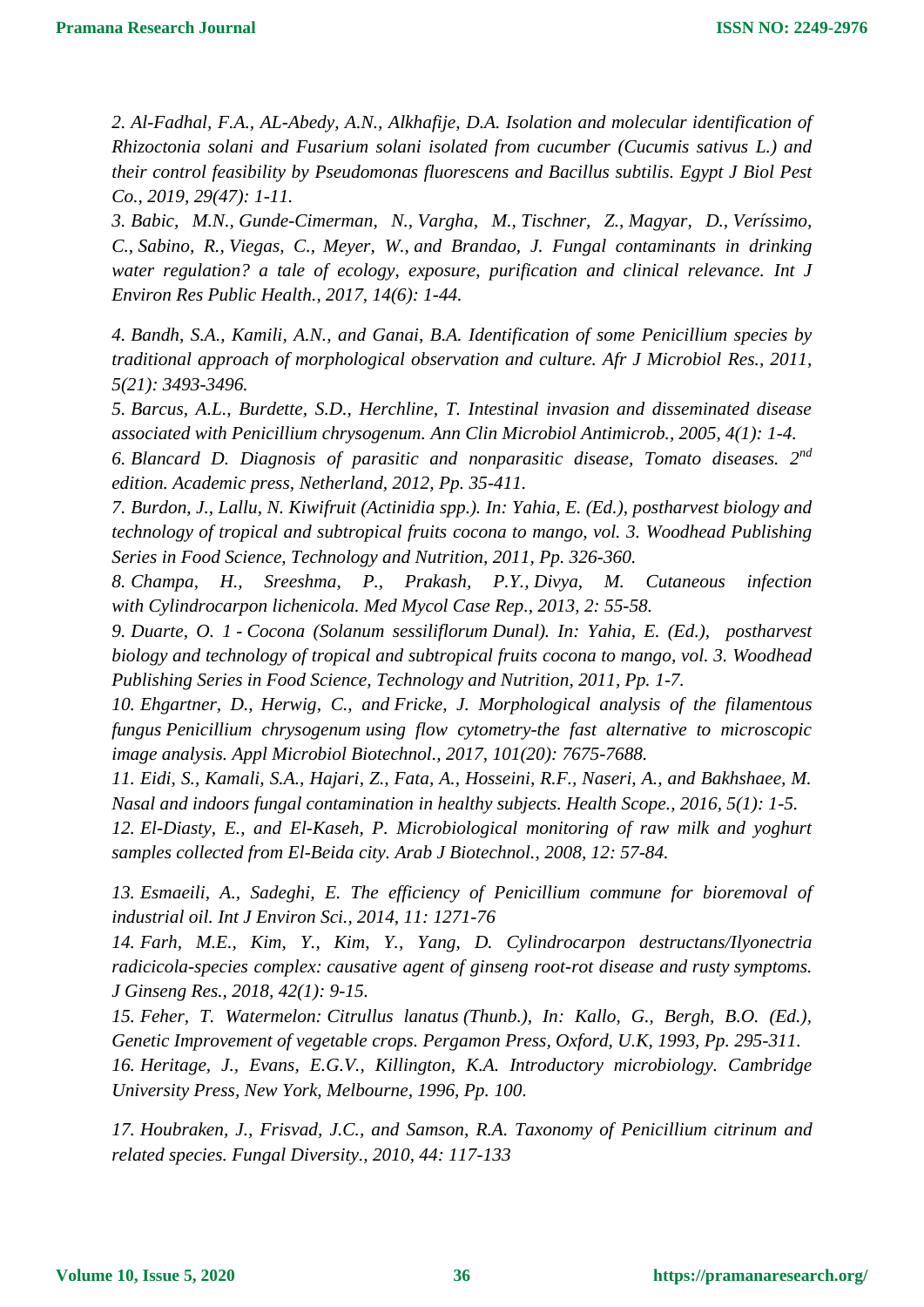*2. Al-Fadhal, F.A., AL-Abedy, A.N., Alkhafije, D.A. Isolation and molecular identification of Rhizoctonia solani and Fusarium solani isolated from cucumber (Cucumis sativus L.) and their control feasibility by Pseudomonas fluorescens and Bacillus subtilis. Egypt J Biol Pest Co., 2019, 29(47): 1-11.*

*3. [Babic,](https://www.ncbi.nlm.nih.gov/pubmed/?term=Novak%20Babi%26%23x0010d%3B%20M%5BAuthor%5D) M.N., [Gunde-Cimerman,](https://www.ncbi.nlm.nih.gov/pubmed/?term=Gunde-Cimerman%20N%5BAuthor%5D) N., [Vargha,](https://www.ncbi.nlm.nih.gov/pubmed/?term=Vargha%20M%5BAuthor%5D) M., [Tischner,](https://www.ncbi.nlm.nih.gov/pubmed/?term=Tischner%20Z%5BAuthor%5D) Z., [Magyar,](https://www.ncbi.nlm.nih.gov/pubmed/?term=Magyar%20D%5BAuthor%5D) D., [Veríssimo,](https://www.ncbi.nlm.nih.gov/pubmed/?term=Ver%26%23x000ed%3Bssimo%20C%5BAuthor%5D) C., [Sabino,](https://www.ncbi.nlm.nih.gov/pubmed/?term=Sabino%20R%5BAuthor%5D) R., [Viegas,](https://www.ncbi.nlm.nih.gov/pubmed/?term=Viegas%20C%5BAuthor%5D) C., [Meyer,](https://www.ncbi.nlm.nih.gov/pubmed/?term=Meyer%20W%5BAuthor%5D) W., and [Brandao,](https://www.ncbi.nlm.nih.gov/pubmed/?term=Brand%26%23x000e3%3Bo%20J%5BAuthor%5D) J. Fungal contaminants in drinking water regulation? a tale of ecology, exposure, purification and clinical relevance. [Int J](https://www.ncbi.nlm.nih.gov/pmc/articles/PMC5486322/)  [Environ Res Public Health.](https://www.ncbi.nlm.nih.gov/pmc/articles/PMC5486322/), 2017, 14(6): 1-44.*

*4. Bandh, S.A., Kamili, A.N., and Ganai, B.A. Identification of some Penicillium species by traditional approach of morphological observation and culture. Afr J Microbiol Res., 2011, 5(21): 3493-3496.*

*5. Barcus, A.L., Burdette, S.D., Herchline, T. Intestinal invasion and disseminated disease associated with Penicillium chrysogenum. Ann Clin Microbiol Antimicrob., 2005, 4(1): 1-4.*

*6. Blancard D. Diagnosis of parasitic and nonparasitic disease, Tomato diseases. 2nd edition. Academic press, Netherland, 2012, Pp. 35-411.* 

*7. [Burdon,](https://www.sciencedirect.com/science/article/pii/B9781845697358500140#!) J., [Lallu,](https://www.sciencedirect.com/science/article/pii/B9781845697358500140#!) N. Kiwifruit (Actinidia spp.). In: Yahia, E. (Ed.), [postharvest biology and](https://www.sciencedirect.com/science/book/9781845697358)  [technology of tropical and subtropical fruits](https://www.sciencedirect.com/science/book/9781845697358) cocona to mango, vol. 3. Woodhead Publishing Series in Food Science, Technology and Nutrition, 2011, Pp. 326-360.*

*8. [Champa,](https://www.ncbi.nlm.nih.gov/pubmed/?term=Champa%20H%5BAuthor%5D&cauthor=true&cauthor_uid=24432217) H., [Sreeshma,](https://www.ncbi.nlm.nih.gov/pubmed/?term=Sreeshma%20P%5BAuthor%5D&cauthor=true&cauthor_uid=24432217) P., [Prakash,](https://www.ncbi.nlm.nih.gov/pubmed/?term=Yegneswaran%20Prakash%20P%5BAuthor%5D&cauthor=true&cauthor_uid=24432217) P.Y., [Divya,](https://www.ncbi.nlm.nih.gov/pubmed/?term=Divya%20M%5BAuthor%5D&cauthor=true&cauthor_uid=24432217) M. Cutaneous infection with Cylindrocarpon lichenicola. [Med Mycol Case Rep.](https://www.ncbi.nlm.nih.gov/pmc/articles/PMC3885963/), 2013, 2: 55-58.*

*9. Duarte, O. 1 - Cocona (Solanum sessiliflorum Dunal). In: Yahia, E. (Ed.), [postharvest](https://www.sciencedirect.com/science/book/9781845697358)  [biology and technology of tropical and subtropical fruits](https://www.sciencedirect.com/science/book/9781845697358) cocona to mango, vol. 3. Woodhead Publishing Series in Food Science, Technology and Nutrition, 2011, Pp. 1-7.*

*10. [Ehgartner,](https://www.ncbi.nlm.nih.gov/pubmed/?term=Ehgartner%20D%5BAuthor%5D&cauthor=true&cauthor_uid=28913699) D., [Herwig,](https://www.ncbi.nlm.nih.gov/pubmed/?term=Herwig%20C%5BAuthor%5D&cauthor=true&cauthor_uid=28913699) C., and [Fricke,](https://www.ncbi.nlm.nih.gov/pubmed/?term=Fricke%20J%5BAuthor%5D&cauthor=true&cauthor_uid=28913699) J. Morphological analysis of the filamentous fungus Penicillium chrysogenum using flow cytometry-the fast alternative to microscopic image analysis. [Appl Microbiol Biotechnol.](https://www.ncbi.nlm.nih.gov/pmc/articles/PMC5624980/), 2017, 101(20): 7675-7688.*

*11. Eidi, S., Kamali, S.A., Hajari, Z., Fata, A., Hosseini, R.F., Naseri, A., and Bakhshaee, M. Nasal and indoors fungal contamination in healthy subjects. Health Scope., 2016, 5(1): 1-5.*

*12. El-Diasty, E., and El-Kaseh, P. Microbiological monitoring of raw milk and yoghurt samples collected from El-Beida city. Arab J Biotechnol., 2008, 12: 57-84.* 

*13. Esmaeili, A., Sadeghi, E. The efficiency of Penicillium commune for bioremoval of industrial oil. Int J Environ Sci., 2014, 11: 1271-76*

*14. Farh, M.E., Kim, Y., Kim, Y., [Yang,](https://www.sciencedirect.com/science/article/pii/S1226845316301774#!) D. Cylindrocarpon destructans/Ilyonectria radicicola-species complex: causative agent of ginseng root-rot disease and rusty symptoms. [J Ginseng Res.](https://www.sciencedirect.com/science/journal/12268453), 2018, 42(1): 9-15.*

*15. [Feher,](https://www.sciencedirect.com/science/article/pii/B9780080408262500254#!) T. Watermelon: Citrullus lanatus (Thunb.), In: Kallo, G., Bergh, B.O. (Ed.), [Genetic Improvement of vegetable crops.](https://www.sciencedirect.com/science/book/9780080408262) Pergamon Press, Oxford, U.K, 1993, Pp. 295-311.*

*16. Heritage, J., Evans, E.G.V., Killington, K.A. Introductory microbiology. Cambridge University Press, New York, Melbourne, 1996, Pp. 100.*

*17. Houbraken, J., Frisvad, J.C., and Samson, R.A. Taxonomy of Penicillium citrinum and related species. Fungal Diversity., 2010, 44: 117-133*